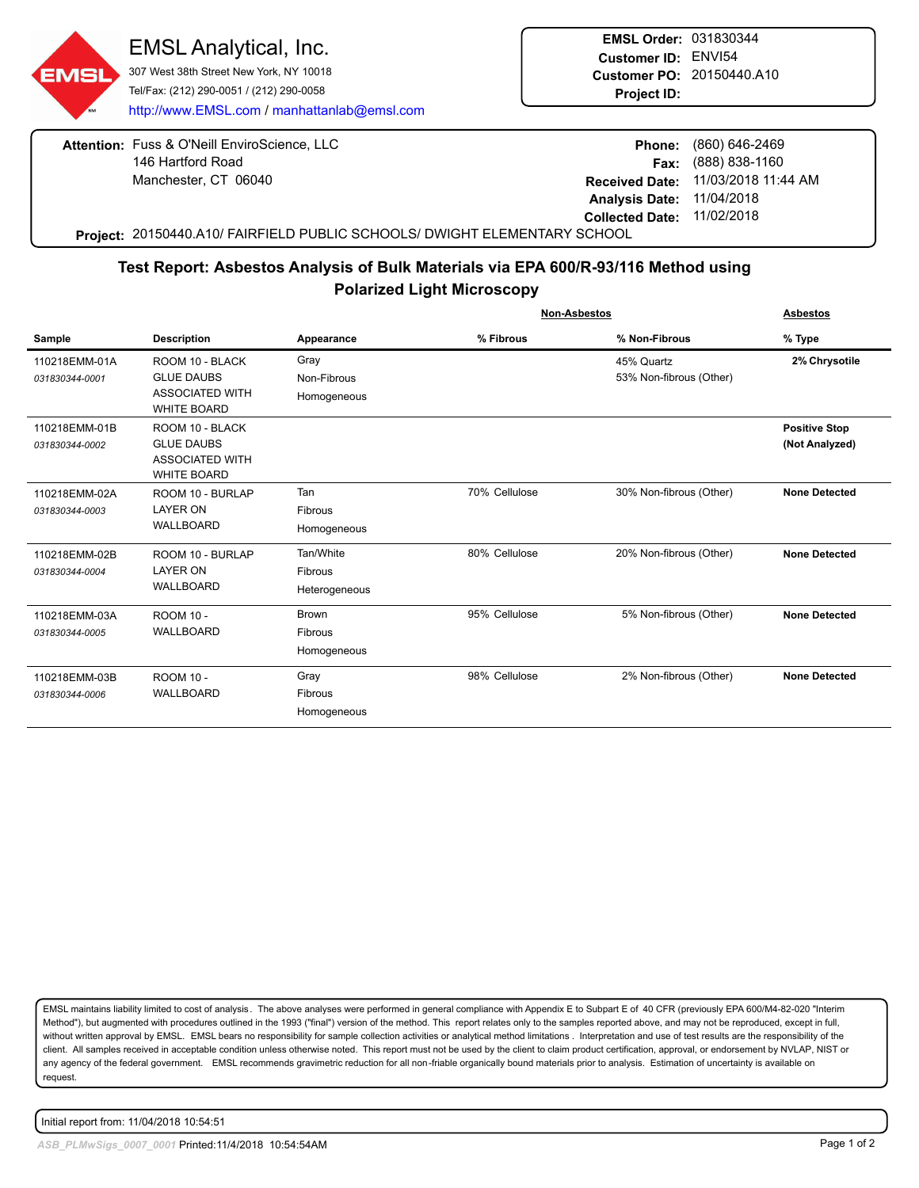307 West 38th Street New York, NY 10018 Tel/Fax: (212) 290-0051 / (212) 290-0058 http://www.EMSL.com / manhattanlab@emsl.com

**EMSL Order:** 031830344 **Customer ID:** ENVI54 **Customer PO:** 20150440.A10 **Project ID:**

**Attention: Fuss & O'Neill EnviroScience, LLC** 146 Hartford Road Manchester, CT 06040

|                            | Phone: (860) 646-2469              |
|----------------------------|------------------------------------|
|                            | <b>Fax:</b> $(888) 838-1160$       |
|                            | Received Date: 11/03/2018 11:44 AM |
| Analysis Date: 11/04/2018  |                                    |
| Collected Date: 11/02/2018 |                                    |
|                            |                                    |

**Project:** 20150440.A10/ FAIRFIELD PUBLIC SCHOOLS/ DWIGHT ELEMENTARY SCHOOL

## **Test Report: Asbestos Analysis of Bulk Materials via EPA 600/R-93/116 Method using Polarized Light Microscopy**

|                                 |                                                                                      |                                              | <b>Non-Asbestos</b> |                                       | <b>Asbestos</b>                        |
|---------------------------------|--------------------------------------------------------------------------------------|----------------------------------------------|---------------------|---------------------------------------|----------------------------------------|
| Sample                          | <b>Description</b>                                                                   | Appearance                                   | % Fibrous           | % Non-Fibrous                         | % Type                                 |
| 110218EMM-01A<br>031830344-0001 | ROOM 10 - BLACK<br><b>GLUE DAUBS</b><br><b>ASSOCIATED WITH</b><br><b>WHITE BOARD</b> | Gray<br>Non-Fibrous<br>Homogeneous           |                     | 45% Quartz<br>53% Non-fibrous (Other) | 2% Chrysotile                          |
| 110218EMM-01B<br>031830344-0002 | ROOM 10 - BLACK<br><b>GLUE DAUBS</b><br><b>ASSOCIATED WITH</b><br><b>WHITE BOARD</b> |                                              |                     |                                       | <b>Positive Stop</b><br>(Not Analyzed) |
| 110218EMM-02A<br>031830344-0003 | ROOM 10 - BURLAP<br><b>LAYER ON</b><br><b>WALLBOARD</b>                              | Tan<br>Fibrous<br>Homogeneous                | 70% Cellulose       | 30% Non-fibrous (Other)               | <b>None Detected</b>                   |
| 110218EMM-02B<br>031830344-0004 | ROOM 10 - BURLAP<br><b>LAYER ON</b><br><b>WALLBOARD</b>                              | Tan/White<br><b>Fibrous</b><br>Heterogeneous | 80% Cellulose       | 20% Non-fibrous (Other)               | <b>None Detected</b>                   |
| 110218EMM-03A<br>031830344-0005 | <b>ROOM 10 -</b><br><b>WALLBOARD</b>                                                 | <b>Brown</b><br>Fibrous<br>Homogeneous       | 95% Cellulose       | 5% Non-fibrous (Other)                | <b>None Detected</b>                   |
| 110218EMM-03B<br>031830344-0006 | <b>ROOM 10 -</b><br><b>WALLBOARD</b>                                                 | Gray<br><b>Fibrous</b><br>Homogeneous        | 98% Cellulose       | 2% Non-fibrous (Other)                | <b>None Detected</b>                   |

EMSL maintains liability limited to cost of analysis. The above analyses were performed in general compliance with Appendix E to Subpart E of 40 CFR (previously EPA 600/M4-82-020 "Interim Method"), but augmented with procedures outlined in the 1993 ("final") version of the method. This report relates only to the samples reported above, and may not be reproduced, except in full, without written approval by EMSL. EMSL bears no responsibility for sample collection activities or analytical method limitations . Interpretation and use of test results are the responsibility of the client. All samples received in acceptable condition unless otherwise noted. This report must not be used by the client to claim product certification, approval, or endorsement by NVLAP, NIST or any agency of the federal government. EMSL recommends gravimetric reduction for all non-friable organically bound materials prior to analysis. Estimation of uncertainty is available on request.